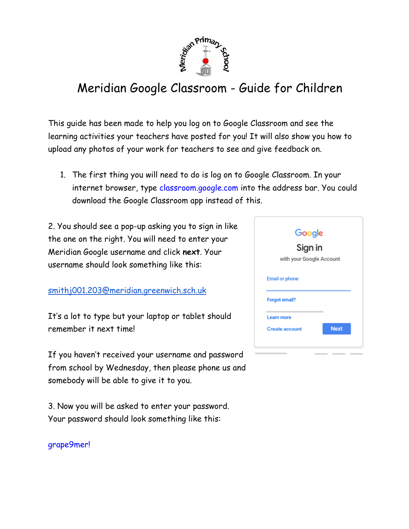

# Meridian Google Classroom - Guide for Children

This guide has been made to help you log on to Google Classroom and see the learning activities your teachers have posted for you! It will also show you how to upload any photos of your work for teachers to see and give feedback on.

1. The first thing you will need to do is log on to Google Classroom. In your internet browser, type classroom.google.com into the address bar. You could download the Google Classroom app instead of this.

2. You should see a pop-up asking you to sign in like the one on the right. You will need to enter your Meridian Google username and click **next**. Your username should look something like this:

[smithj001.203@meridian.greenwich.sch.uk](mailto:smithj001.203@meridian.greenwich.sch.uk)

It's a lot to type but your laptop or tablet should remember it next time!

If you haven't received your username and password from school by Wednesday, then please phone us and somebody will be able to give it to you.

3. Now you will be asked to enter your password. Your password should look something like this:

grape9mer!

| Google<br>Sign in     |             |  |
|-----------------------|-------------|--|
|                       |             |  |
| <b>Email or phone</b> |             |  |
| <b>Forgot email?</b>  |             |  |
| <b>Learn more</b>     |             |  |
| <b>Create account</b> | <b>Next</b> |  |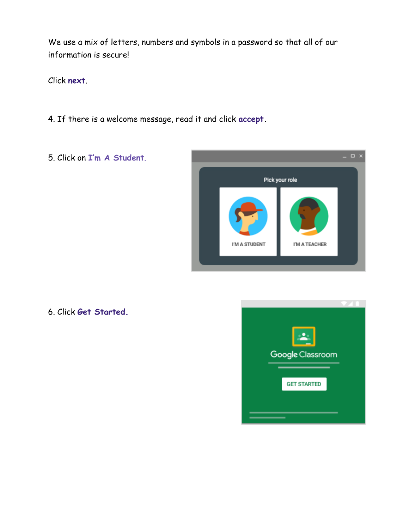We use a mix of letters, numbers and symbols in a password so that all of our information is secure!

Click **next**.

- 4. If there is a welcome message, read it and click **accept.**
- 5. Click on **I'm A Student**.



6. Click **Get Started.**

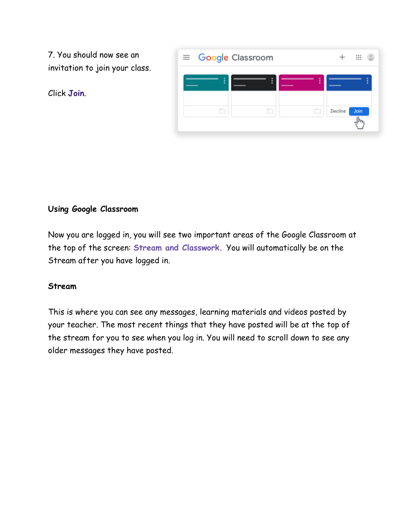7. You should now see an invitation to join your class.





## **Using Google Classroom**

Now you are logged in, you will see two important areas of the Google Classroom at the top of the screen: **Stream and Classwork.** You will automatically be on the Stream after you have logged in.

#### **Stream**

This is where you can see any messages, learning materials and videos posted by your teacher. The most recent things that they have posted will be at the top of the stream for you to see when you log in. You will need to scroll down to see any older messages they have posted.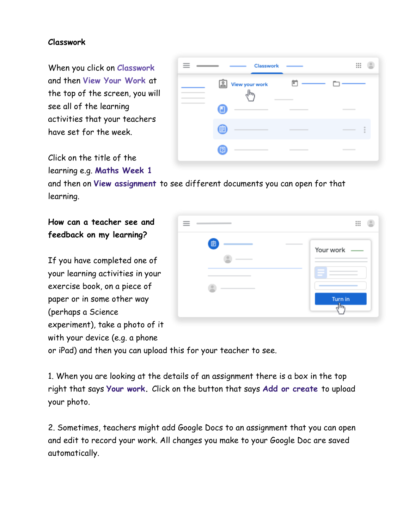## **Classwork**

When you click on **Classwork**  and then **View Your Work** at the top of the screen, you will see all of the learning activities that your teachers have set for the week.

| Click on the title of the  |  |  |
|----------------------------|--|--|
| learning e.g. Maths Week 1 |  |  |

| learning e.g. Maths Week 1                                                   |  |
|------------------------------------------------------------------------------|--|
| and then on View assignment to see different documents you can open for that |  |
| learning.                                                                    |  |

# **How can a teacher see and feedback on my learning?**

If you have completed one of your learning activities in your exercise book, on a piece of paper or in some other way (perhaps a Science experiment), take a photo of it with your device (e.g. a phone

|                       | ₩                    |
|-----------------------|----------------------|
| 自<br>$\sim$<br>$\sim$ | Your work<br>Turn in |

Classwork

View your work

O

自

◙

վհյ

卣

₩

n

or iPad) and then you can upload this for your teacher to see.

1. When you are looking at the details of an assignment there is a box in the top right that says **Your work.** Click on the button that says **Add or create** to upload your photo.

2. Sometimes, teachers might add Google Docs to an assignment that you can open and edit to record your work. All changes you make to your Google Doc are saved automatically.